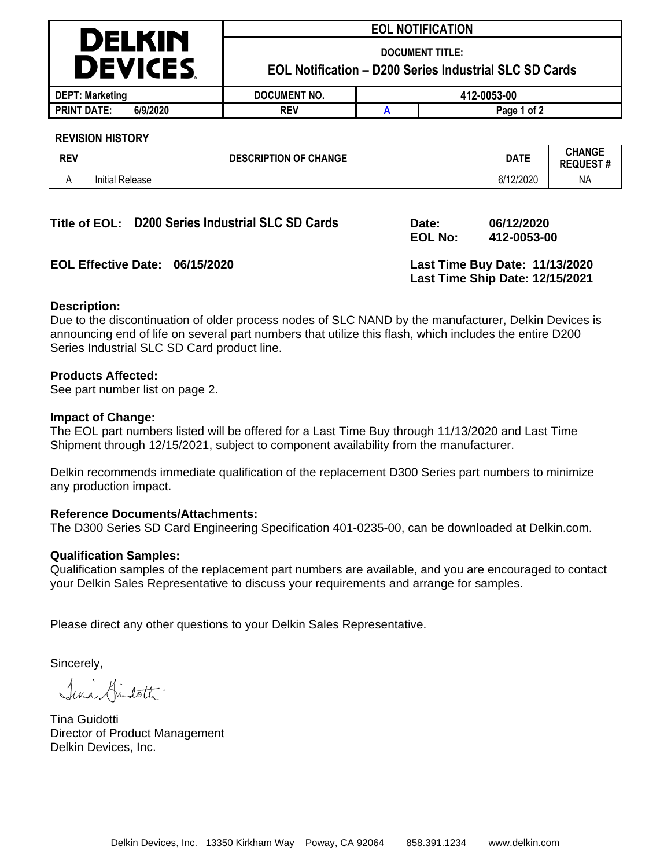|                                 | <b>EOL NOTIFICATION</b>                                                          |             |             |  |  |
|---------------------------------|----------------------------------------------------------------------------------|-------------|-------------|--|--|
| <b>DELKIN</b><br><b>DEVICES</b> | <b>DOCUMENT TITLE:</b><br>EOL Notification - D200 Series Industrial SLC SD Cards |             |             |  |  |
| <b>DEPT: Marketing</b>          | DOCUMENT NO.                                                                     | 412-0053-00 |             |  |  |
| 6/9/2020<br><b>PRINT DATE:</b>  | <b>REV</b>                                                                       |             | Page 1 of 2 |  |  |

#### **REVISION HISTORY**

| <b>REV</b> | <b>DESCRIPTION OF CHANGE</b> | <b>DATE</b> | <b>CHANGE</b><br><b>REQUEST#</b> |
|------------|------------------------------|-------------|----------------------------------|
|            | <b>Initial Release</b>       | 6/12/2020   | <b>NA</b>                        |

# **Title of EOL: D200 Series Industrial SLC SD Cards Date: 06/12/2020**

**EOL No: 412-0053-00**

**EOL Effective Date: 06/15/2020 Last Time Buy Date: 11/13/2020**

**Last Time Ship Date: 12/15/2021**

# **Description:**

Due to the discontinuation of older process nodes of SLC NAND by the manufacturer, Delkin Devices is announcing end of life on several part numbers that utilize this flash, which includes the entire D200 Series Industrial SLC SD Card product line.

#### **Products Affected:**

See part number list on page 2.

#### **Impact of Change:**

The EOL part numbers listed will be offered for a Last Time Buy through 11/13/2020 and Last Time Shipment through 12/15/2021, subject to component availability from the manufacturer.

Delkin recommends immediate qualification of the replacement D300 Series part numbers to minimize any production impact.

## **Reference Documents/Attachments:**

The D300 Series SD Card Engineering Specification 401-0235-00, can be downloaded at Delkin.com.

## **Qualification Samples:**

Qualification samples of the replacement part numbers are available, and you are encouraged to contact your Delkin Sales Representative to discuss your requirements and arrange for samples.

Please direct any other questions to your Delkin Sales Representative.

Sincerely,

Juna Kindoth.

Tina Guidotti Director of Product Management Delkin Devices, Inc.